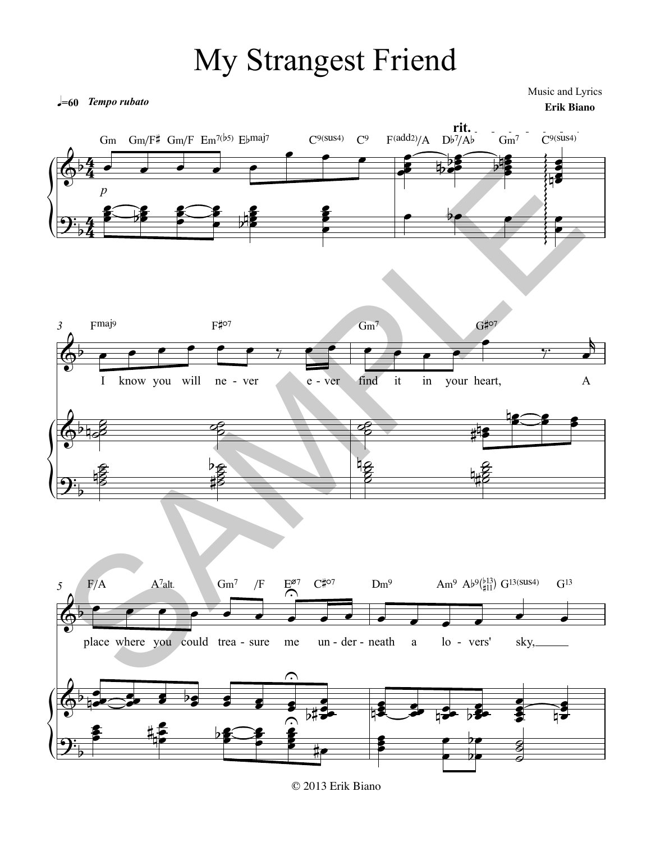## My Strangest Friend

 $=60$  Tempo rubato

Music and Lyrics **Erik Biano** 



© 2013 Erik Biano